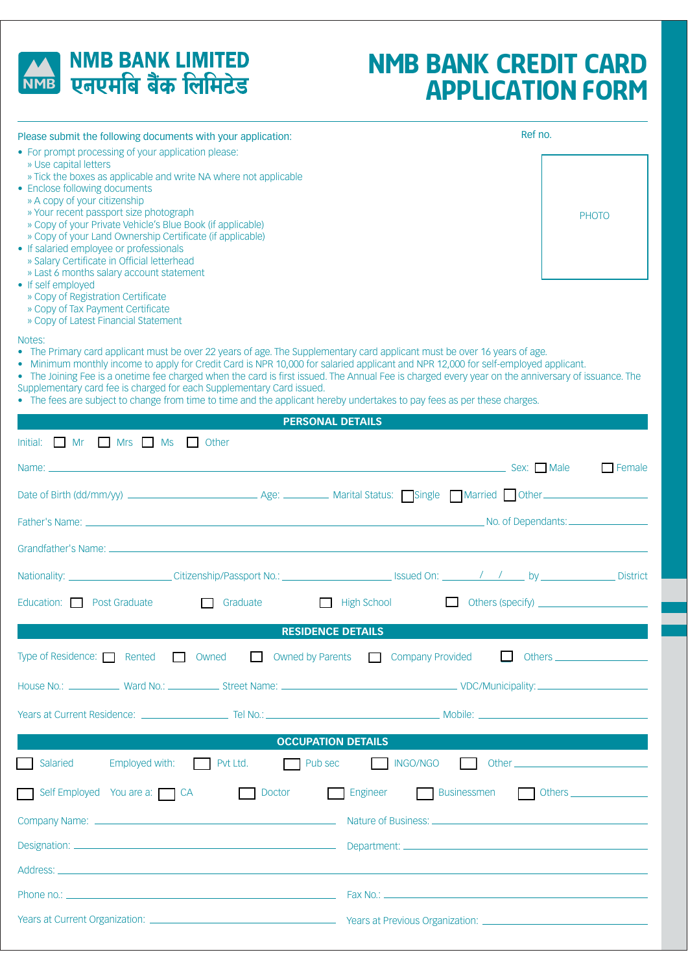

## **NMB BANK LIMITED** NMB एनएमबि बैंक लिमिटेड

# **NMB BANK CREDIT CARD APPLICATION FORM**

| Please submit the following documents with your application:                                                                                                                                                                                                                                                                                                                                                                                                                                                                                                                                                                                                                 |  | Ref no.                 |  |                                     |
|------------------------------------------------------------------------------------------------------------------------------------------------------------------------------------------------------------------------------------------------------------------------------------------------------------------------------------------------------------------------------------------------------------------------------------------------------------------------------------------------------------------------------------------------------------------------------------------------------------------------------------------------------------------------------|--|-------------------------|--|-------------------------------------|
| • For prompt processing of your application please:<br>» Use capital letters<br>» Tick the boxes as applicable and write NA where not applicable<br>• Enclose following documents<br>» A copy of your citizenship<br>» Your recent passport size photograph<br>» Copy of your Private Vehicle's Blue Book (if applicable)<br>» Copy of your Land Ownership Certificate (if applicable)<br>• If salaried employee or professionals<br>» Salary Certificate in Official letterhead<br>» Last 6 months salary account statement<br>• If self employed<br>» Copy of Registration Certificate<br>» Copy of Tax Payment Certificate                                                |  |                         |  | <b>PHOTO</b>                        |
| » Copy of Latest Financial Statement<br>Notes:<br>• The Primary card applicant must be over 22 years of age. The Supplementary card applicant must be over 16 years of age.<br>• Minimum monthly income to apply for Credit Card is NPR 10,000 for salaried applicant and NPR 12,000 for self-employed applicant.<br>• The Joining Fee is a onetime fee charged when the card is first issued. The Annual Fee is charged every year on the anniversary of issuance. The<br>Supplementary card fee is charged for each Supplementary Card issued.<br>• The fees are subject to change from time to time and the applicant hereby undertakes to pay fees as per these charges. |  |                         |  |                                     |
|                                                                                                                                                                                                                                                                                                                                                                                                                                                                                                                                                                                                                                                                              |  | <b>PERSONAL DETAILS</b> |  |                                     |
| Initial: Mr Mrs Ms Other                                                                                                                                                                                                                                                                                                                                                                                                                                                                                                                                                                                                                                                     |  |                         |  |                                     |
| Name: _                                                                                                                                                                                                                                                                                                                                                                                                                                                                                                                                                                                                                                                                      |  |                         |  | $\Box$ Female                       |
|                                                                                                                                                                                                                                                                                                                                                                                                                                                                                                                                                                                                                                                                              |  |                         |  |                                     |
|                                                                                                                                                                                                                                                                                                                                                                                                                                                                                                                                                                                                                                                                              |  |                         |  | No. of Dependants: ________________ |
|                                                                                                                                                                                                                                                                                                                                                                                                                                                                                                                                                                                                                                                                              |  |                         |  |                                     |

|                                                                                                                              | Education: Post Graduate and Graduate and Graduate and High School and Others (specify)     |
|------------------------------------------------------------------------------------------------------------------------------|---------------------------------------------------------------------------------------------|
| <b>Service Service</b>                                                                                                       | <b>RESIDENCE DETAILS</b>                                                                    |
|                                                                                                                              | Type of Residence: Rented Cowned Cowned Superints Company Provided Cothers Combany Provided |
|                                                                                                                              |                                                                                             |
|                                                                                                                              |                                                                                             |
| <b>Experimental Contract Contract Contract OCCUPATION DETAILS</b>                                                            |                                                                                             |
|                                                                                                                              | Salaried Employed with: Pvt Ltd. Device Pub sec NGO/NGO Other                               |
|                                                                                                                              | Self Employed You are a: CA CA Doctor Dengineer Businessmen Chers Communication CA          |
|                                                                                                                              |                                                                                             |
|                                                                                                                              |                                                                                             |
|                                                                                                                              |                                                                                             |
|                                                                                                                              |                                                                                             |
| Years at Current Organization: <b>Markows</b> Years at Previous Organization: <b>Markows</b> Years at Previous Organization: |                                                                                             |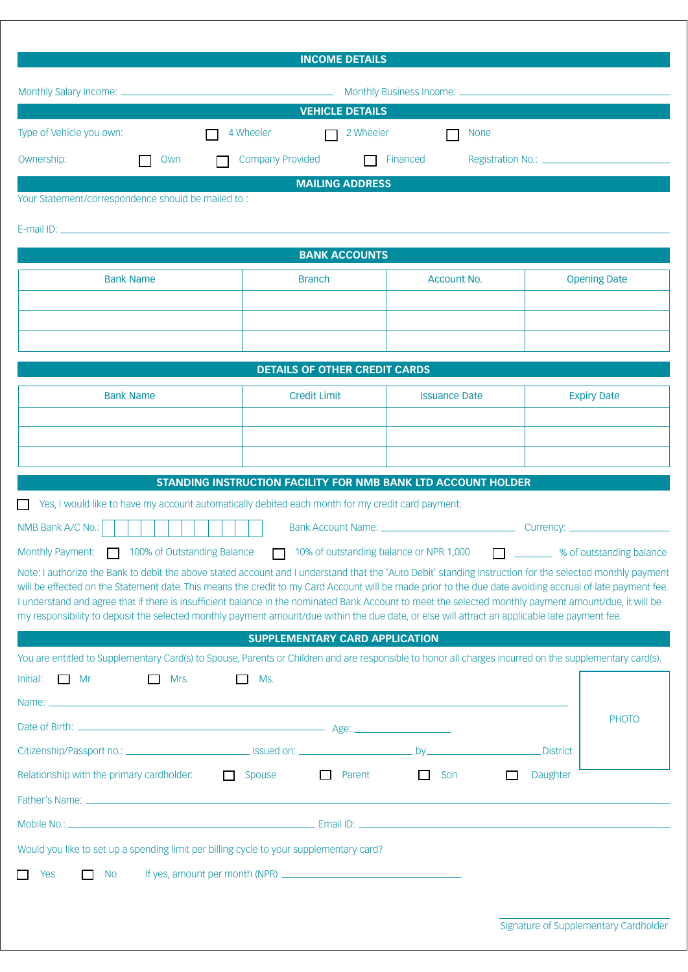|                                                                                                                                                                                                                                                                                                                        | <b>INCOME DETAILS</b>                                         |                                         |                                         |                     |
|------------------------------------------------------------------------------------------------------------------------------------------------------------------------------------------------------------------------------------------------------------------------------------------------------------------------|---------------------------------------------------------------|-----------------------------------------|-----------------------------------------|---------------------|
|                                                                                                                                                                                                                                                                                                                        |                                                               |                                         |                                         |                     |
|                                                                                                                                                                                                                                                                                                                        | <b>VEHICLE DETAILS</b>                                        |                                         |                                         |                     |
| Type of Vehicle you own:                                                                                                                                                                                                                                                                                               | 4 Wheeler<br>2 Wheeler                                        | <b>None</b>                             |                                         |                     |
| Ownership:<br>Own                                                                                                                                                                                                                                                                                                      | <b>Company Provided</b>                                       | Financed                                |                                         |                     |
|                                                                                                                                                                                                                                                                                                                        | <b>MAILING ADDRESS</b>                                        |                                         |                                         |                     |
| Your Statement/correspondence should be mailed to:                                                                                                                                                                                                                                                                     |                                                               |                                         |                                         |                     |
|                                                                                                                                                                                                                                                                                                                        |                                                               |                                         |                                         |                     |
|                                                                                                                                                                                                                                                                                                                        | <b>BANK ACCOUNTS</b>                                          |                                         |                                         |                     |
| <b>Bank Name</b>                                                                                                                                                                                                                                                                                                       | <b>Branch</b>                                                 | <b>Account No.</b>                      |                                         | <b>Opening Date</b> |
|                                                                                                                                                                                                                                                                                                                        |                                                               |                                         |                                         |                     |
|                                                                                                                                                                                                                                                                                                                        |                                                               |                                         |                                         |                     |
|                                                                                                                                                                                                                                                                                                                        |                                                               |                                         |                                         |                     |
|                                                                                                                                                                                                                                                                                                                        | <b>DETAILS OF OTHER CREDIT CARDS</b>                          |                                         |                                         |                     |
| <b>Bank Name</b>                                                                                                                                                                                                                                                                                                       | <b>Credit Limit</b>                                           | <b>Issuance Date</b>                    |                                         | <b>Expiry Date</b>  |
|                                                                                                                                                                                                                                                                                                                        |                                                               |                                         |                                         |                     |
|                                                                                                                                                                                                                                                                                                                        |                                                               |                                         |                                         |                     |
|                                                                                                                                                                                                                                                                                                                        | STANDING INSTRUCTION FACILITY FOR NMB BANK LTD ACCOUNT HOLDER |                                         |                                         |                     |
| Yes, I would like to have my account automatically debited each month for my credit card payment.                                                                                                                                                                                                                      |                                                               |                                         |                                         |                     |
| NMB Bank A/C No.:                                                                                                                                                                                                                                                                                                      |                                                               |                                         |                                         |                     |
| Monthly Payment:<br>100% of Outstanding Balance                                                                                                                                                                                                                                                                        |                                                               | 10% of outstanding balance or NPR 1,000 | □ <sub>1</sub> ‰ of outstanding balance |                     |
| Note: I authorize the Bank to debit the above stated account and I understand that the 'Auto Debit' standing instruction for the selected monthly payment<br>will be effected on the Statement date. This means the credit to my Card Account will be made prior to the due date avoiding accrual of late payment fee. |                                                               |                                         |                                         |                     |
| I understand and agree that if there is insufficient balance in the nominated Bank Account to meet the selected monthly payment amount/due, it will be<br>my responsibility to deposit the selected monthly payment amount/due within the due date, or else will attract an applicable late payment fee.               |                                                               |                                         |                                         |                     |
|                                                                                                                                                                                                                                                                                                                        | <b>SUPPLEMENTARY CARD APPLICATION</b>                         |                                         |                                         |                     |
| You are entitled to Supplementary Card(s) to Spouse, Parents or Children and are responsible to honor all charges incurred on the supplementary card(s).                                                                                                                                                               |                                                               |                                         |                                         |                     |
| $\Box$ Mr<br>Mrs.<br>Initial:<br>$\Box$                                                                                                                                                                                                                                                                                | $\Box$ Ms.                                                    |                                         |                                         |                     |
| Name: <u>experimental and contract and contract and contract and contract and contract and contract and contract and contract and contract and contract and contract and contract and contract and contract and contract and con</u>                                                                                   |                                                               |                                         |                                         | <b>PHOTO</b>        |
|                                                                                                                                                                                                                                                                                                                        |                                                               |                                         |                                         |                     |
|                                                                                                                                                                                                                                                                                                                        |                                                               |                                         | District                                |                     |
| Relationship with the primary cardholder:                                                                                                                                                                                                                                                                              | <b>D</b> Parent<br>Spouse Spouse                              | $\Box$ Son                              | Daughter<br>□                           |                     |
|                                                                                                                                                                                                                                                                                                                        |                                                               |                                         |                                         |                     |
|                                                                                                                                                                                                                                                                                                                        |                                                               |                                         |                                         |                     |
| Would you like to set up a spending limit per billing cycle to your supplementary card?                                                                                                                                                                                                                                |                                                               |                                         |                                         |                     |
| Yes<br><b>No</b><br><b>Tall</b>                                                                                                                                                                                                                                                                                        |                                                               |                                         |                                         |                     |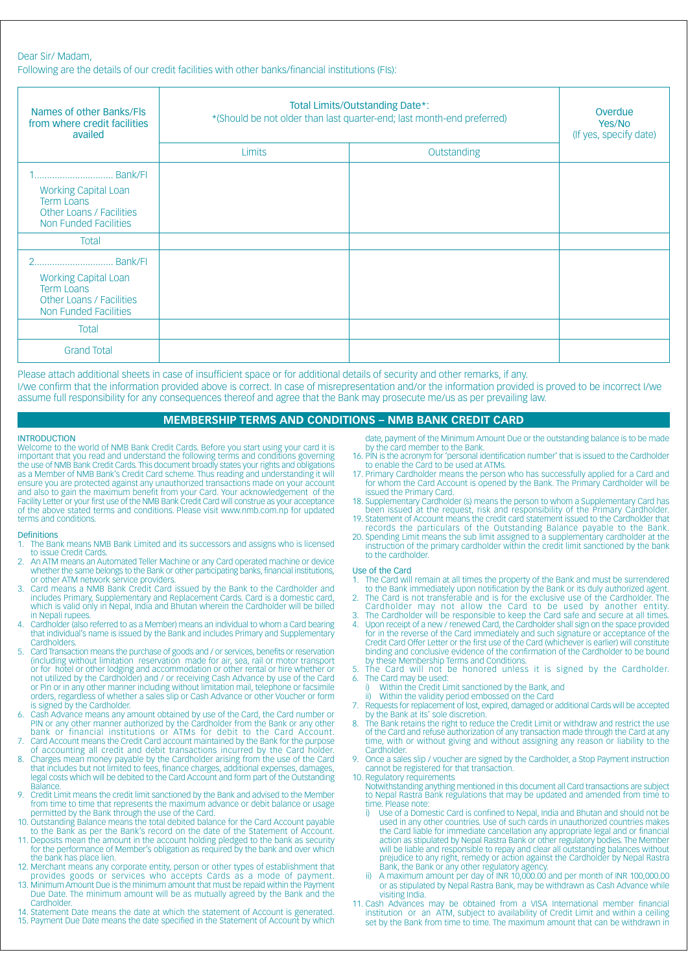Following are the details of our credit facilities with other banks/financial institutions (FIS):

| Names of other Banks/Fls<br>from where credit facilities<br>availed                                   | Total Limits/Outstanding Date*:<br>*(Should be not older than last quarter-end; last month-end preferred) |             | Overdue<br>Yes/No<br>(If yes, specify date) |
|-------------------------------------------------------------------------------------------------------|-----------------------------------------------------------------------------------------------------------|-------------|---------------------------------------------|
|                                                                                                       | Limits                                                                                                    | Outstanding |                                             |
| <b>Working Capital Loan</b><br><b>Term Loans</b><br>Other Loans / Facilities<br>Non Funded Facilities |                                                                                                           |             |                                             |
| <b>Total</b>                                                                                          |                                                                                                           |             |                                             |
| <b>Working Capital Loan</b><br><b>Term Loans</b><br>Other Loans / Facilities<br>Non Funded Facilities |                                                                                                           |             |                                             |
| Total                                                                                                 |                                                                                                           |             |                                             |
| <b>Grand Total</b>                                                                                    |                                                                                                           |             |                                             |

Please attach additional sheets in case of insufficient space or for additional details of security and other remarks, if any. I/we confirm that the information provided above is correct. In case of misrepresentation and/or the information provided is proved to be incorrect I/we assume full responsibility for any consequences thereof and agree that the Bank may prosecute me/us as per prevailing law.

## **MEMBERSHIP TERMS AND CONDITIONS - NMB BANK CREDIT CARD**

## **INTRODUCTION**

Welcome to the world of NMB Bank Credit Cards. Before you start using your card it is important that you read and understand the following terms and conditions governing the use of NMB Bank Credit Cards. This document broadly states your rights and obligations as a Member of NMB Bank's Credit Card scheme. Thus reading and understanding it will ensure you are protected against any unauthorized transactions made on your account<br>and also to gain the maximum benefit from your Card. Your acknowledgement of the Facility Letter or your first use of the NMB Bank Credit Card will construe as your acceptance of the above stated terms and conditions. Please visit www.nmb.com.np for updated terms and conditions.

## **Definitions**

- The Bank means NMB Bank Limited and its successors and assigns who is licensed 1. to issue Credit Cards.
- An ATM means an Automated Teller Machine or any Card operated machine or device whether the same belongs to the Bank or other participating banks, financial institutions,
- or other ATM network service providers.<br>Card means a NMB Bank Credit Card issued by the Bank to the Cardholder and includes Primary, Supplementary and Replacement Cards. Card is a domestic card, which is valid only in Nepal, India and Bhutan wherein the Cardholder will be billed in Nepali rupees.
- Cardholder (also referred to as a Member) means an individual to whom a Card bearing that individual's name is issued by the Bank and includes Primary and Supplementary Cardholders
- Card Transaction means the purchase of goods and / or services, benefits or reservation (including without limitation reservation made for air, sea, rail or motor transport or for hotel or other lodging and accommodation or other rental or hire whether or not utilized by the Cardholder) and / or receiving Cash Advance by use of the Card or Pin or in any other manner including without limitation mail, telephone or facsimile orders, regardless of whether a sales slip or Cash Advance or other Voucher or form is signed by the Cardholder.
- Cash Advance means any amount obtained by use of the Card, the Card number or PIN or any other manner authorized by the Cardholder from the Bank or any other bank or financial institutions or ATMs for debit to the Card Account.<br>Card Account means the Credit Card account maintained by the Bank for the purpose
- $\overline{7}$ of accounting all credit and debit transactions incurred by the Card holder.  $\mathbf{8}$
- Charges mean money payable by the Cardholder arising from the use of the Card that includes but not limited to fees, finance charges, additional expenses, damages, legal costs which will be debited to the Card Account and form part of the Outstanding **Balance**  $\circ$
- Credit Limit means the credit limit sanctioned by the Bank and advised to the Member from time to time that represents the maximum advance or debit balance or usage permitted by the Bank through the use of the Card.
- 10. Outstanding Balance means the total debited balance for the Card Account payable to the Bank as per the Bank's record on the date of the Statement of Account.<br>11. Deposits mean the amount in the account holding pledged to the bank as security
- for the performance of Member's obligation as required by the bank and over which the bank has place lien.
- 12. Merchant means any corporate entity, person or other types of establishment that<br>provides goods or services who accepts Cards as a mode of payment.
- 13. Minimum Amount Due is the minimum amount that must be repaid within the Payment Due Date. The minimum amount will be as mutually agreed by the Bank and the Cardholder
- 14. Statement Date means the date at which the statement of Account is generated. 15. Payment Due Date means the date specified in the Statement of Account by which

date, payment of the Minimum Amount Due or the outstanding balance is to be made by the card member to the Bank.

- 16. PIN is the acronym for 'personal identification number' that is issued to the Cardholder to enable the Card to be used at ATMs.
- 17. Primary Cardholder means the person who has successfully applied for a Card and<br>for whom the Card Account is opened by the Bank. The Primary Cardholder will be issued the Primary Card.
- 18. Supplementary Cardholder (s) means the person to whom a Supplementary Card has For issued at the request, risk and responsibility of the Primary Cardholder.<br>19. Statement of Account means the credit card statement issued to the Cardholder that
- records the particulars of the Outstanding Balance payable to the Bank.
- 20. Spending Limit means the sub limit assigned to a supplementary cardholder at the instruction of the primary cardholder within the credit limit sanctioned by the bank to the cardholder.

## Use of the Card

- The Card will remain at all times the property of the Bank and must be surrendered to the Bank immediately upon notification by the Bank or its duly authorized agent. 1.
- The Card is not transferable and is for the exclusive use of the Cardholder. The  $\overline{2}$ Cardholder may not allow the Card to be used by another entity.<br>The Cardholder will be responsible to keep the Card safe and secure at all times.
- Upon receipt of a new / renewed Card, the Cardholder shall sign on the space provided  $\overline{A}$ For in the reverse of the Card immediately and such signature or acceptance of the<br>Credit Card Offer Letter or the first use of the Card (whichever is earlier) will constitute binding and conclusive evidence of the confirmation of the Cardholder to be bound
- by these Membership Terms and Conditions.<br>The Card will not be honored unless it is signed by the Cardholder.  $5^{\circ}$
- $6.$
- The Card may be used:<br>
i) Within the Credit Limit sanctioned by the Bank, and
	- Within the validity period embossed on the Card
- Requests for replacement of lost, expired, damaged or additional Cards will be accepted  $7<sub>1</sub>$ by the Bank at its' sole discretion.
- 8. The Bank retains the right to reduce the Credit Limit or withdraw and restrict the use of the Card and refuse authorization of any transaction made through the Card at any time, with or without giving and without assigning any reason or liability to the Cardholder.
- 9 Once a sales slip / voucher are signed by the Cardholder, a Stop Payment instruction cannot be registered for that transaction.
- 10. Regulatory requirements

Notwithstanding anything mentioned in this document all Card transactions are subject to Nepal Rastra Bank regulations that may be updated and amended from time to time. Please note:

- Use of a Domestic Card is confined to Nepal, India and Bhutan and should not be j) used in any other countries. Use of such cards in unauthorized countries makes the Card liable for immediate cancellation any appropriate legal and or financial action as stipulated by Nepal Rastra Bank or other regulatory bodies. The Member structure in the liable and responsible to repay and clear all outstanding balances without<br>prejudice to any right, remedy or action against the Cardholder by Nepal Rastra Bank, the Bank or any other regulatory agency
- A maximum amount per day of INR 10,000.00 and per month of INR 100,000.00  $\overline{11}$ or as stipulated by Nepal Rastra Bank, may be withdrawn as Cash Advance while visiting India.
- 11. Cash Advances may be obtained from a VISA International member financial institution or an ATM, subject to availability of Credit Limit and within a ceiling set by the Bank from time to time. The maximum amount that can be withdrawn in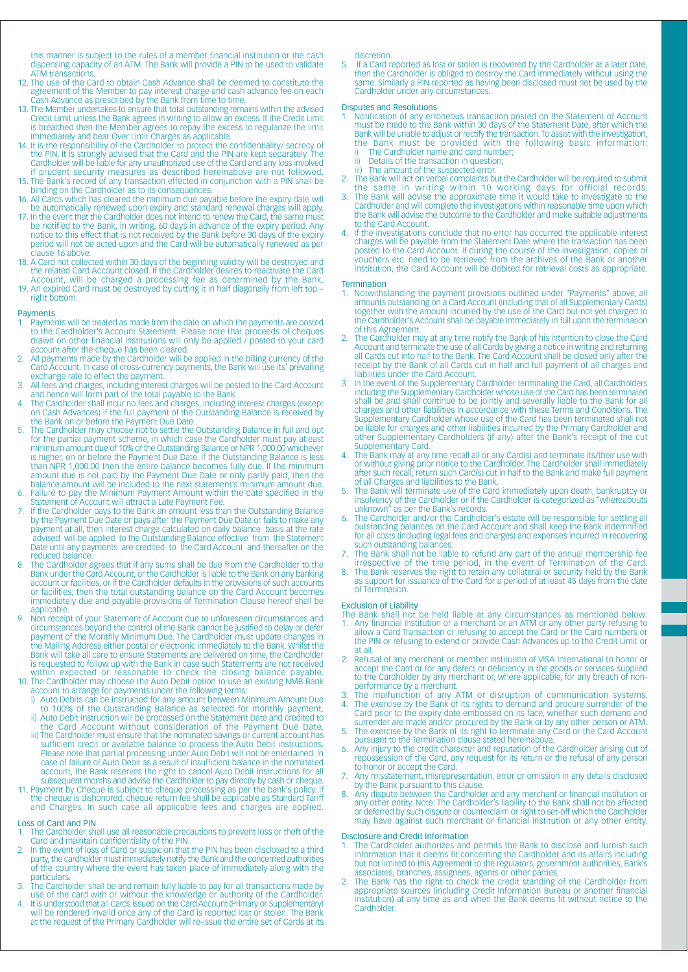this manner is subject to the rules of a member financial institution or the cash dispensing capacity of an ATM. The Bank will provide a PIN to be used to validate ATM transactions.

- 12. The use of the Card to obtain Cash Advance shall be deemed to constitute the agreement of the Member to pay interest charge and cash advance fee on each Cash Advance as prescribed by the Bank from time to time.
- 13. The Member undertakes to ensure that total outstanding remains within the advised Credit Limit unless the Bank agrees in writing to allow an excess. If the Credit Limit
- is breached then the Member agrees to repay the excess to regularize the limit<br>immediately and bear Over Limit Charges as applicable.<br>14. It is the responsibility of the Cardholder to protect the confidentiality/ secrecy o if prudent security measures as described hereinabove are not followed
- 15. The Bank's record of any transaction effected in conjunction with a PIN shall be binding on the Cardholder as to its consequences.
- 16. All Cards which has cleared the minimum due payable before the expiry date will be automatically renewed upon expiry and standard renewal charges will apply.
- 17. In the event that the Cardholder does not intend to renew the Card, the same must<br>be notified to the Bank, in writing, 60 days in advance of the expiry period. Any<br>notice to this effect that is not received by the Bank period will not be acted upon and the Card will be automatically renewed as per clause 16 above.
- 18. A Card not collected within 30 days of the beginning validity will be destroyed and the related Card Account closed. If the Cardholder desires to reactivate the Card Account, will be charged a processing fee as determined by the Bank.
- 19. An expired Card must be destroyed by cutting it in half diagonally from left top right bottom.

#### **Payments**

- Payments will be treated as made from the date on which the payments are posted<br>to the Cardholder's Account Statement. Please note that proceeds of cheques<br>drawn on other financial institutions will only be applied / poste account after the cheque has been cleared.
- All payments made by the Cardholder will be applied in the billing currency of the Card Account. In case of cross-currency payments, the Bank will use its' prevailing exchange rate to effect the payment.
- All fees and charges, including interest charges will be posted to the Card Account<br>and hence will form part of the total payable to the Bank.  $\mathcal{R}$
- The Cardholder shall incur no fees and charges, including interest charges (except<br>on Cash Advances) if the full payment of the Outstanding Balance is received by  $\Lambda$ the Bank on or before the Payment Due Date.
- The Cardholder may choose not to settle the Outstanding Balance in full and opt  $\overline{5}$ for the partial payment scheme, in which case the Cardholder must pay atleast ion in minimum amount due of 10% of the Outstanding Balance or NPR 1,000.00 whichever<br>is higher, on or before the Payment Due Date. If the Outstanding Balance is less than NPR 1,000.00 then the entire balance becomes fully due. If the minimum amount due is not paid by the Payment Due Date or only partly paid, then the balance amount will be included to the next statement's minimum amount due.
- Failure to pay the Minimum Payment Amount within the date specified in the Statement of Account will attract a Late Payment Fee. If the Cardholder pays to the Bank an amount less than the Outstanding Balance  $6.$
- $\overline{7}$ In the Californian Due Date of pays after the Payment Due Date or fails to make any<br>payment at all, then interest charge calculated on daily balance basis at the rate<br>advised will be applied to the Outstanding Balance effe Date until any payments are credited to the Card Account and thereafter on the reduced balance
- The Cardholder agrees that if any sums shall be due from the Cardholder to the Bank under the Card Account, or the Cardholder is liable to the Bank on any banking<br>account or facilities, or if the Cardholder defaults in the provisions of such accounts or facilities; then the total outstanding balance on the Card Account becomes immediately due and payable provisions of Termination Clause hereof shall be annlicable
- 9. Non receipt of your Statement of Account due to unforeseen circumstances and Formation of the control of the Bank cannot be justified to delay or defer<br>payment of the Monthly Minimum Due. The Cardholder must update changes in the Mailing Address either postal or electronic immediately to the Bank. Whilst the Bank will take all care to ensure Statements are delivered on time, the Cardholder is requested to follow up with the Bank in case such Statements are not received within expected or reasonable to check the closing balance payable.<br>10. The Cardholder may choose the Auto Debit option to use an existing NMB Bank
- account to arrange for payments under the following terms:<br>i) Auto Debits can be instructed for any amount between Minimum Amount Due
	- to 100% of the Outstanding Balance as selected for monthly payment ii) Auto Debit instruction will be processed on the Statement Date and credited to
	- the Card Account without consideration of the Payment Due Date iii) The Cardholder must ensure that the nominated savings or current account has
- Figure 1 can be a state of a process the Auto Debit instructions.<br>Please note that partial processing under Auto Debit will not be entertained. In<br>case of failure of Auto Debit as a result of insufficient balance in the no
- 11. Payment by Cheque is subject to cheque processing as per the bank's policy. If the cheque is dishonored, cheque return fee shall be applicable as Standard Tariff and Charges. In such case all applicable fees and charges are applied.

## Loss of Card and PIN

- The Cardholder shall use all reasonable precautions to prevent loss or theft of the Card and maintain confidentiality of the PIN.
- In the event of loss of Card or suspicion that the PIN has been disclosed to a third party, the cardholder must immediately notify the Bank and the concerned authorities of the country where the event has taken place of immediately along with the **particulars**
- The Cardholder shall be and remain fully liable to pay for all transactions made by use of the card with or without the knowledge or authority of the Cardholder
- It is understood that all Cards issued on the Card Account (Primary or Supplementary) will be rendered invalid once any of the Card is reported lost or stolen. The Bank at the request of the Primary Cardholder will re-issue the entire set of Cards at its

discretion

If a Card reported as lost or stolen is recovered by the Cardholder at a later date, 5. then the Cardholder is obliged to destroy the Card immediately without using the same. Similarly a PIN reported as having been disclosed must not be used by the Cardholder under any circumstances.

#### **Disputes and Resolutions**

- Notification of any erroneous transaction posted on the Statement of Account<br>must be made to the Bank within 30 days of the Statement Date, after which the Bank will be unable to adjust or rectify the transaction. To assist with the investigation, the Bank must be provided with the following basic information:<br>i) The Cardholder name and card number;
	- Details of the transaction in question: ii)
- iii) The amount of the suspected error.
- $2.$ The Bank will act on verbal complaints but the Cardholder will be required to submit
- the same in writing within 10 working days for official records.<br>The Bank will advise the approximate time it would take to investigate to the  $\overline{3}$ Cardholder and will complete the investigations within reasonable time upon which<br>the Bank will advise the outcome to the Cardholder and make suitable adjustments to the Card Account.
- If the investigations conclude that no error has occurred the applicable interest<br>charges will be payable from the Statement Date where the transaction has been  $\overline{4}$ bosted to the Card Account. If during the course of the investigation, copies of<br>vouchers etc. need to be retrieved from the archives of the Bank or another institution, the Card Account will be debited for retrieval costs as appropriate.

#### Termination

- Notwithstanding the payment provisions outlined under "Payments" above, all amounts outstanding on a Card Account (including that of all Supplementary Cards) together with the amount incurred by the use of the Card but not yet charged to the Cardholder's Account shall be payable immediately in full upon the termination of this Agreement.
- The Cardholder may at any time notify the Bank of his intention to close the Card Account and terminate the use of all Cards by giving a notice in writing and returning all Cards cut into half to the Bank. The Card Account receipt by the Bank of all Cards cut in half and full payment of all charges and liabilities under the Card Account.
- In the event of the Supplementary Cardholder terminating the Card, all Cardholders<br>including the Supplementary Cardholder whose use of the Card has been terminated shall be and shall continue to be jointly and severally liable to the Bank for all charges and other liabilities in accordance with these Terms and Conditions. The Supplementary Cardholder whose use of the Card has been terminated shall not<br>be liable for charges and other liabilities incurred by the Primary Cardholder and other Supplementary Cardholders (if any) after the Bank's receipt of the cut Supplementary Card.
- The Bank may at any time recall all or any Card(s) and terminate its/their use with<br>or without giving prior notice to the Cardholder. The Cardholder shall immediately  $\overline{4}$ . after such recall, return such Card(s) cut in half to the Bank and make full payment of all Charges and liabilities to the Bank.
- The Bank will terminate use of the Card immediately upon death, bankruptcy or insolvency of the Cardholder or if the Cardholder is categorized as "whereabouts unknown" as per the Bank's records.
- GUNIOWED as per the Barik STECOTOS.<br>The Cardholder and/or the Cardholder's estate will be responsible for settling all<br>outstanding balances on the Card Account and shall keep the Bank indemnified<br>for all costs (including l 6
- The Bank shall not be liable to refund any part of the annual membership fee<br>irrespective of the time period, in the event of Termination of the Card. 7.
- $\overline{8}$ The Bank reserves the right to retain any collateral or security held by the Bank as support for issuance of the Card for a period of at least 45 days from the date of Termination.

#### **Exclusion of Liability**

- The Bank shall not be held liable at any circumstances as mentioned below: Any financial institution or a merchant or an ATM or any other party refusing to allow a Card Transaction or refusing to accept the Card or the Card numbers or the PIN or refusing to extend or provide Cash Advances up to the Credit Limit or at all
- Refusal of any merchant or member institution of VISA International to honor or accept the Card or for any defect or deficiency in the goods or services supplied to the Cardholder by any merchant or, where applicable, for any breach of nonperformance by a merchant.
- The malfunction of any ATM or disruption of communication systems.<br>The exercise by the Bank of its rights to demand and procure surrender of the  $\overline{A}$ Card prior to the expiry date embossed on its face, whether such demand and<br>surrender are made and/or procured by the Bank or by any other person or ATM.<br>The exercise by the Bank of its right to terminate any Card or the C
- pursuant to the Termination clause stated hereinabove.
- Any injury to the credit character and reputation of the Cardholder arising out of repossession of the Card, any request for its return or the refusal of any person to honor or accept the Card.
- Any misstatement, misrepresentation, error or omission in any details disclosed by the Bank pursuant to this clause.
- By dispute between the Cardholder and any merchant or financial institution or<br>any other entity. Note: The Cardholder and any merchant or financial institution or<br>any other entity. Note: The Cardholder's liability to the B

#### **Disclosure and Credit Information**

- The Cardholder authorizes and permits the Bank to disclose and furnish such<br>information that it deems fit concerning the Cardholder and its affairs including but not limited to this Agreement to the regulators, government authorities, Bank's associates, branches, assignees, agents or other parties.
- The Bank has the right to check the credit standing of the Cardholder from appropriate sources (including Credit Information Bureau or another financial institution) at any time as and when the Bank deems fit without notice to the Cardholder